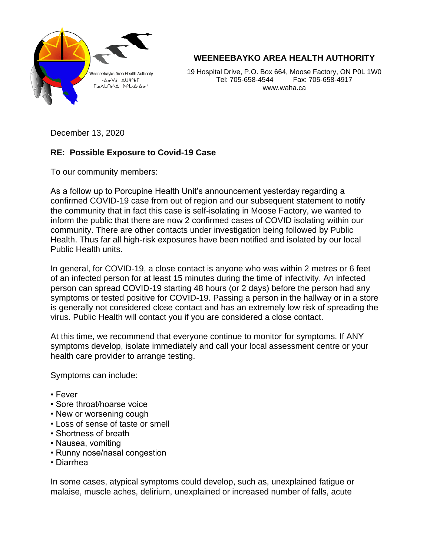

## **WEENEEBAYKO AREA HEALTH AUTHORITY**

19 Hospital Drive, P.O. Box 664, Moose Factory, ON P0L 1W0 Tel: 705-658-4544 Fax: 705-658-4917 www.waha.ca

December 13, 2020

## **RE: Possible Exposure to Covid-19 Case**

To our community members:

As a follow up to Porcupine Health Unit's announcement yesterday regarding a confirmed COVID-19 case from out of region and our subsequent statement to notify the community that in fact this case is self-isolating in Moose Factory, we wanted to inform the public that there are now 2 confirmed cases of COVID isolating within our community. There are other contacts under investigation being followed by Public Health. Thus far all high-risk exposures have been notified and isolated by our local Public Health units.

In general, for COVID-19, a close contact is anyone who was within 2 metres or 6 feet of an infected person for at least 15 minutes during the time of infectivity. An infected person can spread COVID-19 starting 48 hours (or 2 days) before the person had any symptoms or tested positive for COVID-19. Passing a person in the hallway or in a store is generally not considered close contact and has an extremely low risk of spreading the virus. Public Health will contact you if you are considered a close contact.

At this time, we recommend that everyone continue to monitor for symptoms. If ANY symptoms develop, isolate immediately and call your local assessment centre or your health care provider to arrange testing.

Symptoms can include:

- Fever
- Sore throat/hoarse voice
- New or worsening cough
- Loss of sense of taste or smell
- Shortness of breath
- Nausea, vomiting
- Runny nose/nasal congestion
- Diarrhea

In some cases, atypical symptoms could develop, such as, unexplained fatigue or malaise, muscle aches, delirium, unexplained or increased number of falls, acute